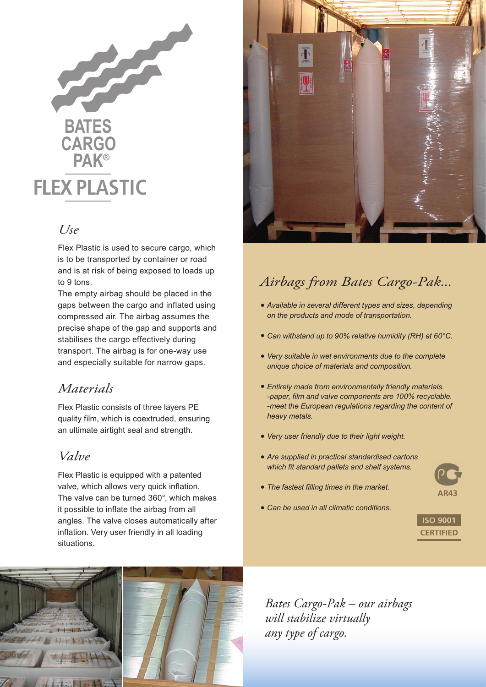

## *Use*

Flex Plastic is used to secure cargo, which is to be transported by container or road and is at risk of being exposed to loads up to 9 tons.

The empty airbag should be placed in the gaps between the cargo and inflated using compressed air. The airbag assumes the precise shape of the gap and supports and stabilises the cargo effectively during transport. The airbag is for one-way use and especially suitable for narrow gaps.

## *Materials*

Flex Plastic consists of three layers PE quality film, which is coextruded, ensuring an ultimate airtight seal and strength.

## *Valve*

Flex Plastic is equipped with a patented valve, which allows very quick inflation. The valve can be turned 360°, which makes it possible to inflate the airbag from all angles. The valve closes automatically after inflation. Very user friendly in all loading situations.



## *Airbags from Bates Cargo-Pak...*

- *• Available in several different types and sizes, depending on the products and mode of transportation.*
- *• Can withstand up to 90% relative humidity (RH) at 60°C.*
- *• Very suitable in wet environments due to the complete unique choice of materials and composition.*
- *• Entirely made from environmentally friendly materials. -paper, film and valve components are 100% recyclable. -meet the European regulations regarding the content of heavy metals.*
- *• Very user friendly due to their light weight.*
- *• Are supplied in practical standardised cartons which fit standard pallets and shelf systems.*
- *• The fastest filling times in the market.*
- *• Can be used in all climatic conditions.*





*Bates Cargo-Pak – our airbags will stabilize virtually any type of cargo.*